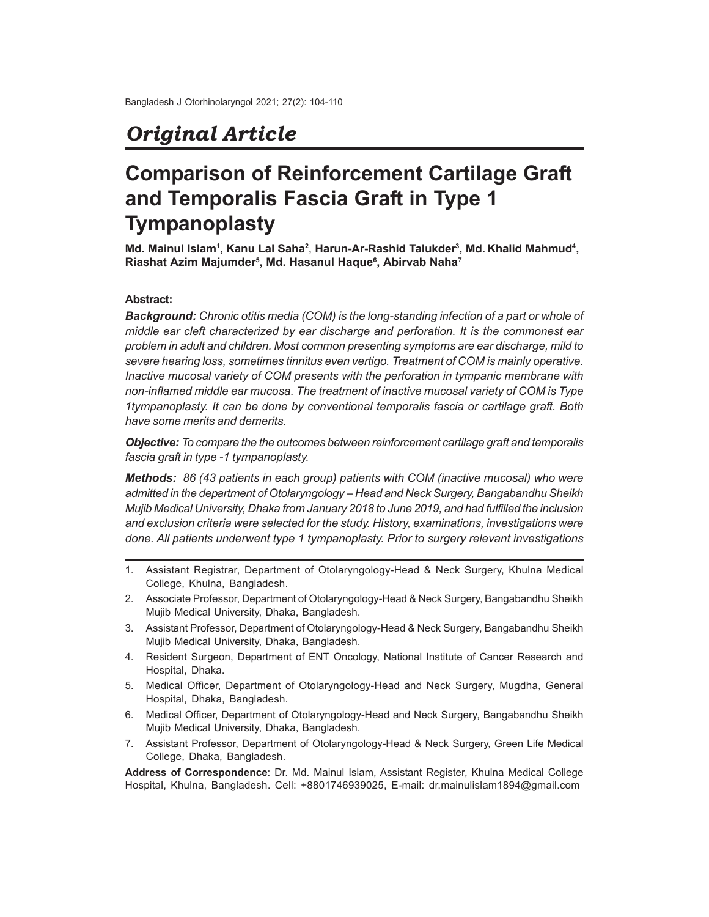# *Original Article*

# **Comparison of Reinforcement Cartilage Graft and Temporalis Fascia Graft in Type 1 Tympanoplasty**

**Md. Mainul Islam<sup>1</sup> , Kanu Lal Saha<sup>2</sup>** , **Harun-Ar-Rashid Talukder<sup>3</sup> , Md. Khalid Mahmud<sup>4</sup> , Riashat Azim Majumder<sup>5</sup> , Md. Hasanul Haque<sup>6</sup> , Abirvab Naha<sup>7</sup>**

## **Abstract:**

*Background: Chronic otitis media (COM) is the long-standing infection of a part or whole of middle ear cleft characterized by ear discharge and perforation. It is the commonest ear problem in adult and children. Most common presenting symptoms are ear discharge, mild to severe hearing loss, sometimes tinnitus even vertigo. Treatment of COM is mainly operative. Inactive mucosal variety of COM presents with the perforation in tympanic membrane with non-inflamed middle ear mucosa. The treatment of inactive mucosal variety of COM is Type 1tympanoplasty. It can be done by conventional temporalis fascia or cartilage graft. Both have some merits and demerits.*

*Objective: To compare the the outcomes between reinforcement cartilage graft and temporalis fascia graft in type -1 tympanoplasty.*

*Methods: 86 (43 patients in each group) patients with COM (inactive mucosal) who were admitted in the department of Otolaryngology – Head and Neck Surgery, Bangabandhu Sheikh Mujib Medical University, Dhaka from January 2018 to June 2019, and had fulfilled the inclusion and exclusion criteria were selected for the study. History, examinations, investigations were done. All patients underwent type 1 tympanoplasty. Prior to surgery relevant investigations*

- 1. Assistant Registrar, Department of Otolaryngology-Head & Neck Surgery, Khulna Medical College, Khulna, Bangladesh.
- 2. Associate Professor, Department of Otolaryngology-Head & Neck Surgery, Bangabandhu Sheikh Mujib Medical University, Dhaka, Bangladesh.
- 3. Assistant Professor, Department of Otolaryngology-Head & Neck Surgery, Bangabandhu Sheikh Mujib Medical University, Dhaka, Bangladesh.
- 4. Resident Surgeon, Department of ENT Oncology, National Institute of Cancer Research and Hospital, Dhaka.
- 5. Medical Officer, Department of Otolaryngology-Head and Neck Surgery, Mugdha, General Hospital, Dhaka, Bangladesh.
- 6. Medical Officer, Department of Otolaryngology-Head and Neck Surgery, Bangabandhu Sheikh Mujib Medical University, Dhaka, Bangladesh.
- 7. Assistant Professor, Department of Otolaryngology-Head & Neck Surgery, Green Life Medical College, Dhaka, Bangladesh.

**Address of Correspondence**: Dr. Md. Mainul Islam, Assistant Register, Khulna Medical College Hospital, Khulna, Bangladesh. Cell: +8801746939025, E-mail: dr.mainulislam1894@gmail.com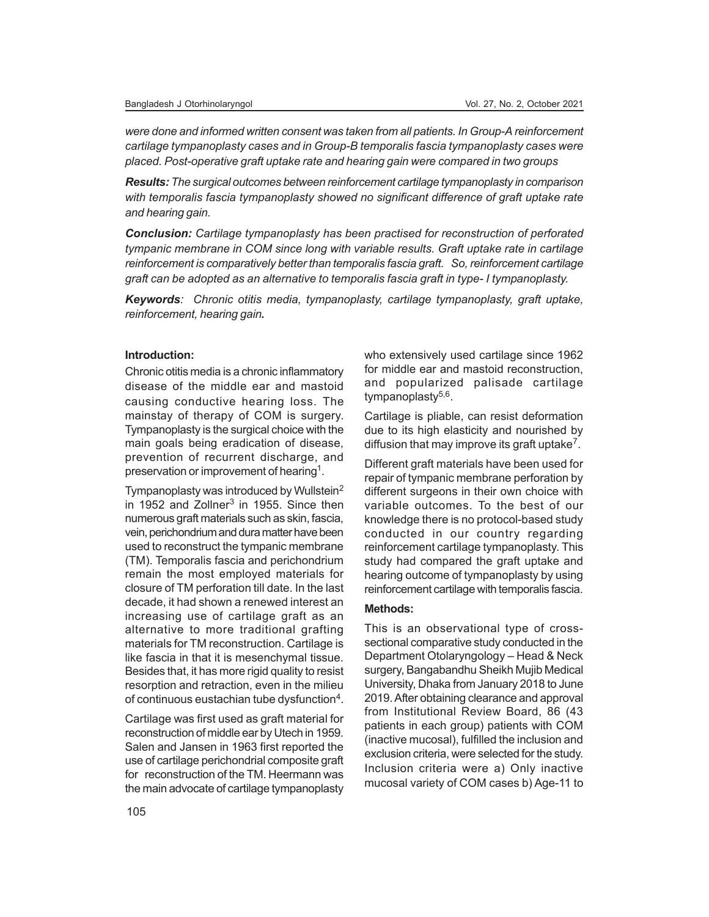*were done and informed written consent was taken from all patients. In Group-A reinforcement cartilage tympanoplasty cases and in Group-B temporalis fascia tympanoplasty cases were placed. Post-operative graft uptake rate and hearing gain were compared in two groups*

*Results: The surgical outcomes between reinforcement cartilage tympanoplasty in comparison with temporalis fascia tympanoplasty showed no significant difference of graft uptake rate and hearing gain.*

*Conclusion: Cartilage tympanoplasty has been practised for reconstruction of perforated tympanic membrane in COM since long with variable results. Graft uptake rate in cartilage reinforcement is comparatively better than temporalis fascia graft. So, reinforcement cartilage graft can be adopted as an alternative to temporalis fascia graft in type- I tympanoplasty.*

*Keywords: Chronic otitis media, tympanoplasty, cartilage tympanoplasty, graft uptake, reinforcement, hearing gain.*

### **Introduction:**

Chronic otitis media is a chronic inflammatory disease of the middle ear and mastoid causing conductive hearing loss. The mainstay of therapy of COM is surgery. Tympanoplasty is the surgical choice with the main goals being eradication of disease, prevention of recurrent discharge, and preservation or improvement of hearing<sup>1</sup>.

Tympanoplasty was introduced by Wullstein<sup>2</sup> in 1952 and Zollner<sup>3</sup> in 1955. Since then numerous graft materials such as skin, fascia, vein, perichondrium and dura matter have been used to reconstruct the tympanic membrane (TM). Temporalis fascia and perichondrium remain the most employed materials for closure of TM perforation till date. In the last decade, it had shown a renewed interest an increasing use of cartilage graft as an alternative to more traditional grafting materials for TM reconstruction. Cartilage is like fascia in that it is mesenchymal tissue. Besides that, it has more rigid quality to resist resorption and retraction, even in the milieu of continuous eustachian tube dysfunction<sup>4</sup>.

Cartilage was first used as graft material for reconstruction of middle ear by Utech in 1959. Salen and Jansen in 1963 first reported the use of cartilage perichondrial composite graft for reconstruction of the TM. Heermann was the main advocate of cartilage tympanoplasty

who extensively used cartilage since 1962 for middle ear and mastoid reconstruction, and popularized palisade cartilage tympanoplasty<sup>5,6</sup>.

Cartilage is pliable, can resist deformation due to its high elasticity and nourished by diffusion that may improve its graft uptake<sup>7</sup>.

Different graft materials have been used for repair of tympanic membrane perforation by different surgeons in their own choice with variable outcomes. To the best of our knowledge there is no protocol-based study conducted in our country regarding reinforcement cartilage tympanoplasty. This study had compared the graft uptake and hearing outcome of tympanoplasty by using reinforcement cartilage with temporalis fascia.

### **Methods:**

This is an observational type of crosssectional comparative study conducted in the Department Otolaryngology – Head & Neck surgery, Bangabandhu Sheikh Mujib Medical University, Dhaka from January 2018 to June 2019. After obtaining clearance and approval from Institutional Review Board, 86 (43 patients in each group) patients with COM (inactive mucosal), fulfilled the inclusion and exclusion criteria, were selected for the study. Inclusion criteria were a) Only inactive mucosal variety of COM cases b) Age-11 to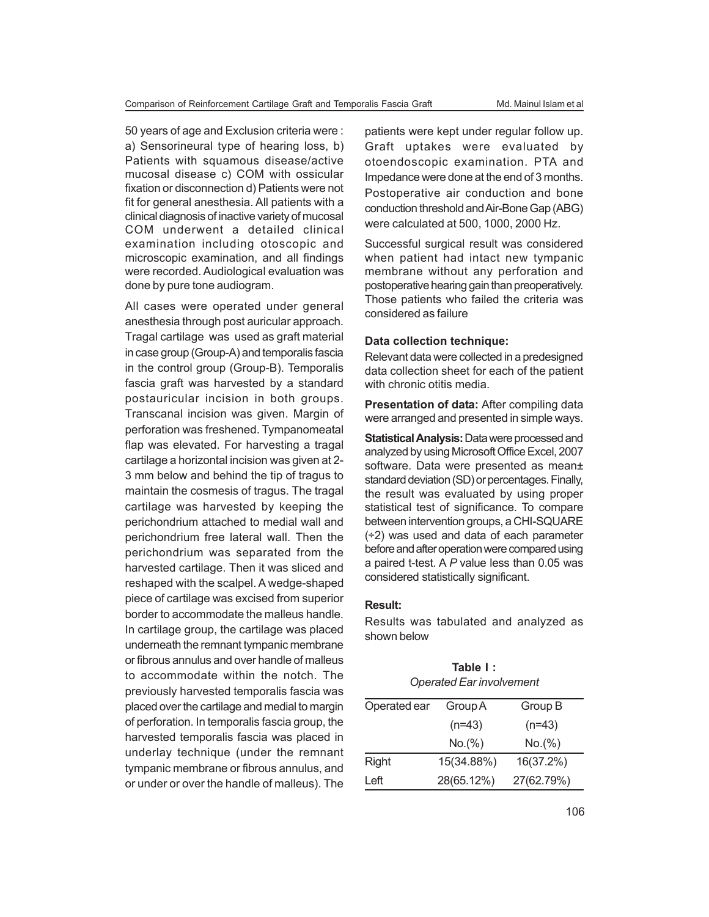50 years of age and Exclusion criteria were : a) Sensorineural type of hearing loss, b) Patients with squamous disease/active mucosal disease c) COM with ossicular fixation or disconnection d) Patients were not fit for general anesthesia. All patients with a clinical diagnosis of inactive variety of mucosal COM underwent a detailed clinical examination including otoscopic and microscopic examination, and all findings were recorded. Audiological evaluation was done by pure tone audiogram.

All cases were operated under general anesthesia through post auricular approach. Tragal cartilage was used as graft material in case group (Group-A) and temporalis fascia in the control group (Group-B). Temporalis fascia graft was harvested by a standard postauricular incision in both groups. Transcanal incision was given. Margin of perforation was freshened. Tympanomeatal flap was elevated. For harvesting a tragal cartilage a horizontal incision was given at 2- 3 mm below and behind the tip of tragus to maintain the cosmesis of tragus. The tragal cartilage was harvested by keeping the perichondrium attached to medial wall and perichondrium free lateral wall. Then the perichondrium was separated from the harvested cartilage. Then it was sliced and reshaped with the scalpel. A wedge-shaped piece of cartilage was excised from superior border to accommodate the malleus handle. In cartilage group, the cartilage was placed underneath the remnant tympanic membrane or fibrous annulus and over handle of malleus to accommodate within the notch. The previously harvested temporalis fascia was placed over the cartilage and medial to margin of perforation. In temporalis fascia group, the harvested temporalis fascia was placed in underlay technique (under the remnant tympanic membrane or fibrous annulus, and or under or over the handle of malleus). The

patients were kept under regular follow up. Graft uptakes were evaluated by otoendoscopic examination. PTA and Impedance were done at the end of 3 months. Postoperative air conduction and bone conduction threshold and Air-Bone Gap (ABG) were calculated at 500, 1000, 2000 Hz.

Successful surgical result was considered when patient had intact new tympanic membrane without any perforation and postoperative hearing gain than preoperatively. Those patients who failed the criteria was considered as failure

#### **Data collection technique:**

Relevant data were collected in a predesigned data collection sheet for each of the patient with chronic otitis media.

**Presentation of data:** After compiling data were arranged and presented in simple ways.

**Statistical Analysis:** Data were processed and analyzed by using Microsoft Office Excel, 2007 software. Data were presented as mean± standard deviation (SD) or percentages. Finally, the result was evaluated by using proper statistical test of significance. To compare between intervention groups, a CHI-SQUARE (÷2) was used and data of each parameter before and after operation were compared using a paired t-test. A *P* value less than 0.05 was considered statistically significant.

### **Result:**

Results was tabulated and analyzed as shown below

**Table I :**

| <b>Operated Ear involvement</b> |            |            |  |
|---------------------------------|------------|------------|--|
| Operated ear                    | Group A    | Group B    |  |
|                                 | $(n=43)$   | $(n=43)$   |  |
|                                 | No.(%)     | No.(%)     |  |
| <b>Right</b>                    | 15(34.88%) | 16(37.2%)  |  |
| Left                            | 28(65.12%) | 27(62.79%) |  |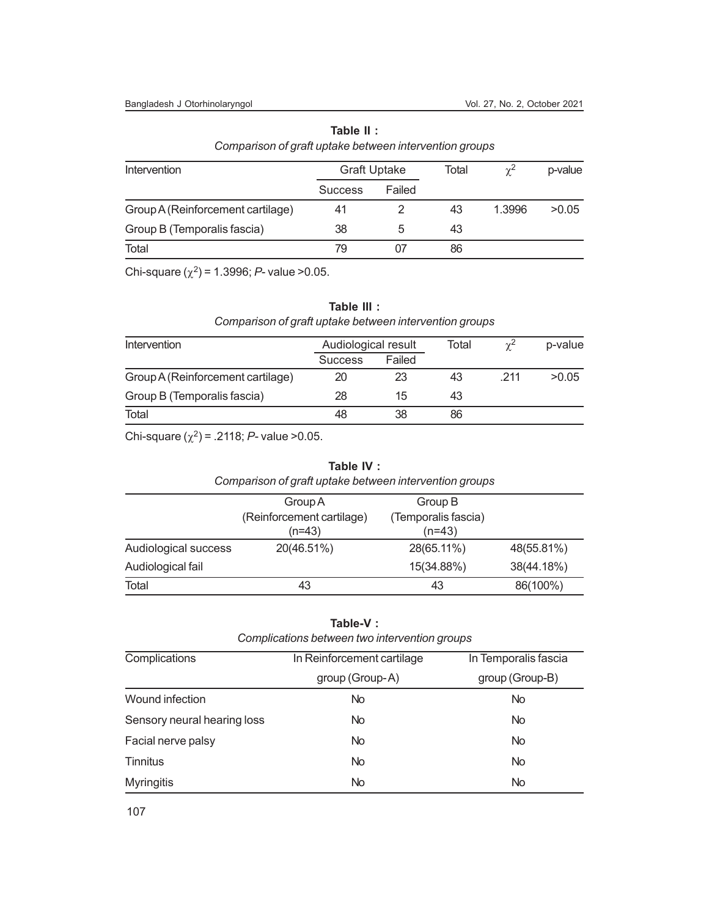#### Bangladesh J Otorhinolaryngol Vol. 27, No. 2, October 2021

| <u>companion or grant aptuno bothroom intervention groups</u> |                     |        |       |            |         |
|---------------------------------------------------------------|---------------------|--------|-------|------------|---------|
| Intervention                                                  | <b>Graft Uptake</b> |        | Total | $\gamma^2$ | p-value |
|                                                               | <b>Success</b>      | Failed |       |            |         |
| Group A (Reinforcement cartilage)                             | 41                  |        | 43    | 1.3996     | >0.05   |
| Group B (Temporalis fascia)                                   | 38                  | :5     | 43    |            |         |
| Total                                                         | 79                  |        | 86    |            |         |

**Table II :** *Comparison of graft uptake between intervention groups*

Chi-square  $(\chi^2)$  = 1.3996; *P*- value > 0.05.

# **Table III :**

# *Comparison of graft uptake between intervention groups*

| Intervention                      | Audiological result |        | Total | $\sim$ <sup>2</sup> | p-value |
|-----------------------------------|---------------------|--------|-------|---------------------|---------|
|                                   | <b>Success</b>      | Failed |       |                     |         |
| Group A (Reinforcement cartilage) | 20                  | 23     | 43    | 211                 | >0.05   |
| Group B (Temporalis fascia)       | 28                  | 15     | 43    |                     |         |
| Total                             | 48                  | 38     | 86    |                     |         |

Chi-square  $(\chi^2)$  = .2118; *P*- value > 0.05.

## **Table IV :**

| Comparison of graft uptake between intervention groups |                       |  |  |
|--------------------------------------------------------|-----------------------|--|--|
| Group A                                                | Group B               |  |  |
| (Dointorcomont continuous)                             | (Tannorolic fraction) |  |  |

|                      | (Reinforcement cartilage) | (Temporalis fascia) |            |
|----------------------|---------------------------|---------------------|------------|
|                      | $(n=43)$                  | $(n=43)$            |            |
| Audiological success | 20(46.51%)                | 28(65.11%)          | 48(55.81%) |
| Audiological fail    |                           | 15(34.88%)          | 38(44.18%) |
| Total                | 43                        | 43                  | 86(100%)   |

# **Table-V :**

| Complications between two intervention groups |  |
|-----------------------------------------------|--|
|-----------------------------------------------|--|

| Complications               | In Reinforcement cartilage | In Temporalis fascia |  |
|-----------------------------|----------------------------|----------------------|--|
|                             | group (Group-A)            | group (Group-B)      |  |
| Wound infection             | <b>No</b>                  | <b>No</b>            |  |
| Sensory neural hearing loss | <b>No</b>                  | No                   |  |
| Facial nerve palsy          | <b>No</b>                  | <b>No</b>            |  |
| <b>Tinnitus</b>             | No                         | <b>No</b>            |  |
| <b>Myringitis</b>           | <b>No</b>                  | <b>No</b>            |  |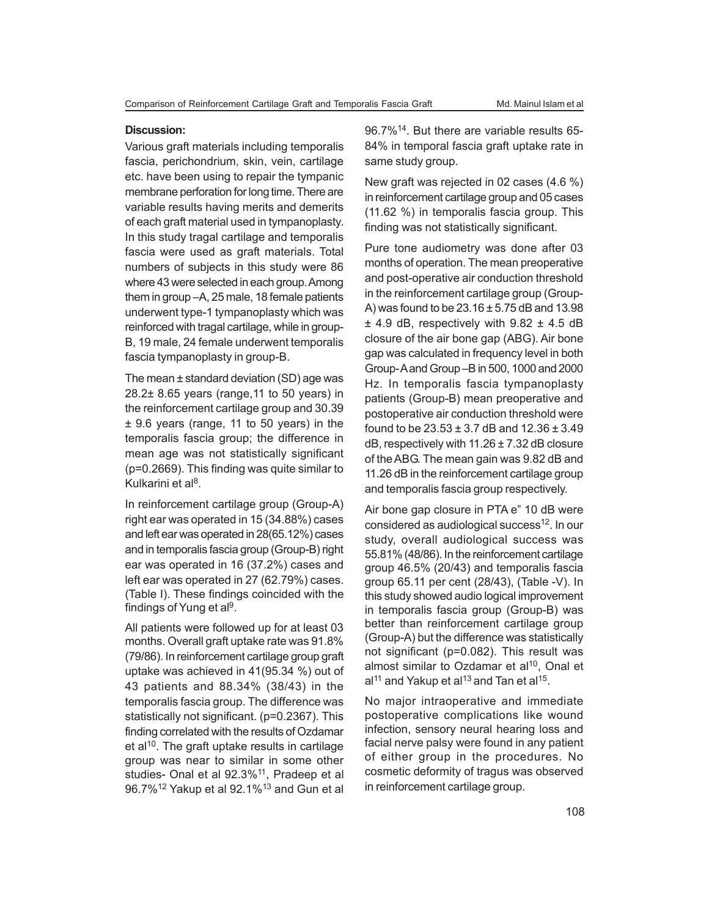#### **Discussion:**

Various graft materials including temporalis fascia, perichondrium, skin, vein, cartilage etc. have been using to repair the tympanic membrane perforation for long time. There are variable results having merits and demerits of each graft material used in tympanoplasty. In this study tragal cartilage and temporalis fascia were used as graft materials. Total numbers of subjects in this study were 86 where 43 were selected in each group. Among them in group –A, 25 male, 18 female patients underwent type-1 tympanoplasty which was reinforced with tragal cartilage, while in group-B, 19 male, 24 female underwent temporalis fascia tympanoplasty in group-B.

The mean ± standard deviation (SD) age was 28.2± 8.65 years (range,11 to 50 years) in the reinforcement cartilage group and 30.39 ± 9.6 years (range, 11 to 50 years) in the temporalis fascia group; the difference in mean age was not statistically significant (p=0.2669). This finding was quite similar to Kulkarini et al<sup>8</sup>.

In reinforcement cartilage group (Group-A) right ear was operated in 15 (34.88%) cases and left ear was operated in 28(65.12%) cases and in temporalis fascia group (Group-B) right ear was operated in 16 (37.2%) cases and left ear was operated in 27 (62.79%) cases. (Table I). These findings coincided with the findings of Yung et al<sup>9</sup>.

All patients were followed up for at least 03 months. Overall graft uptake rate was 91.8% (79/86). In reinforcement cartilage group graft uptake was achieved in 41(95.34 %) out of 43 patients and 88.34% (38/43) in the temporalis fascia group. The difference was statistically not significant. (p=0.2367). This finding correlated with the results of Ozdamar et al<sup>10</sup>. The graft uptake results in cartilage group was near to similar in some other studies- Onal et al 92.3%<sup>11</sup>, Pradeep et al 96.7%<sup>12</sup> Yakup et al 92.1%<sup>13</sup> and Gun et al

96.7%<sup>14</sup>. But there are variable results 65- 84% in temporal fascia graft uptake rate in same study group.

New graft was rejected in 02 cases (4.6 %) in reinforcement cartilage group and 05 cases (11.62 %) in temporalis fascia group. This finding was not statistically significant.

Pure tone audiometry was done after 03 months of operation. The mean preoperative and post-operative air conduction threshold in the reinforcement cartilage group (Group-A) was found to be  $23.16 \pm 5.75$  dB and 13.98  $\pm$  4.9 dB, respectively with 9.82  $\pm$  4.5 dB closure of the air bone gap (ABG). Air bone gap was calculated in frequency level in both Group- A and Group –B in 500, 1000 and 2000 Hz. In temporalis fascia tympanoplasty patients (Group-B) mean preoperative and postoperative air conduction threshold were found to be  $23.53 \pm 3.7$  dB and  $12.36 \pm 3.49$ dB, respectively with  $11.26 \pm 7.32$  dB closure of the ABG. The mean gain was 9.82 dB and 11.26 dB in the reinforcement cartilage group and temporalis fascia group respectively.

Air bone gap closure in PTA e" 10 dB were considered as audiological success<sup>12</sup>. In our study, overall audiological success was 55.81% (48/86). In the reinforcement cartilage group 46.5% (20/43) and temporalis fascia group 65.11 per cent (28/43), (Table -V). In this study showed audio logical improvement in temporalis fascia group (Group-B) was better than reinforcement cartilage group (Group-A) but the difference was statistically not significant (p=0.082). This result was almost similar to Ozdamar et al $10$ , Onal et al $^{11}$  and Yakup et al $^{13}$  and Tan et al $^{15}.$ 

No major intraoperative and immediate postoperative complications like wound infection, sensory neural hearing loss and facial nerve palsy were found in any patient of either group in the procedures. No cosmetic deformity of tragus was observed in reinforcement cartilage group.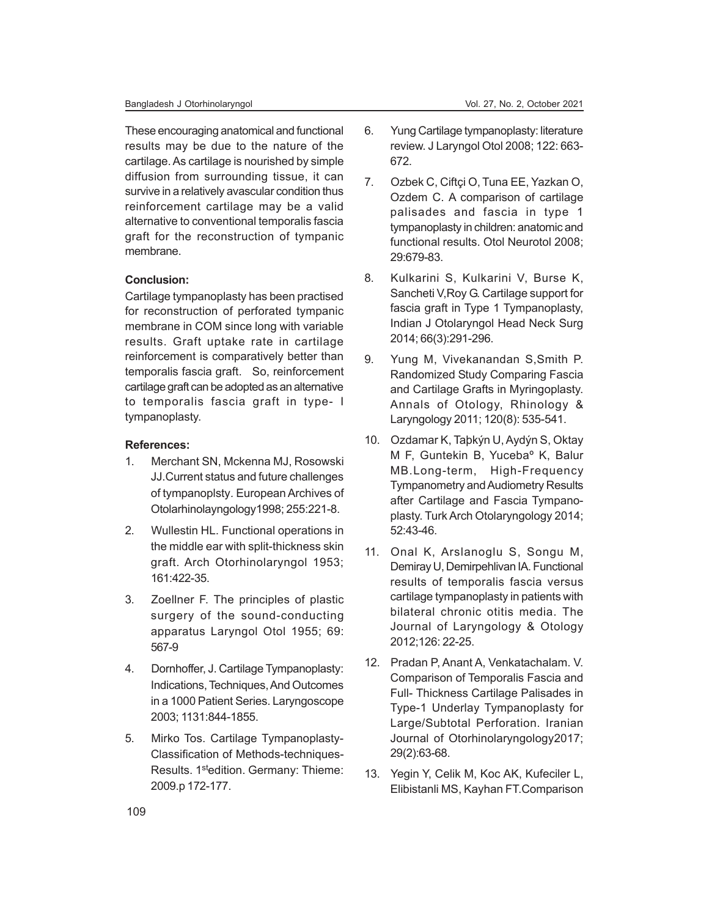These encouraging anatomical and functional results may be due to the nature of the cartilage. As cartilage is nourished by simple diffusion from surrounding tissue, it can survive in a relatively avascular condition thus reinforcement cartilage may be a valid alternative to conventional temporalis fascia graft for the reconstruction of tympanic membrane.

## **Conclusion:**

Cartilage tympanoplasty has been practised for reconstruction of perforated tympanic membrane in COM since long with variable results. Graft uptake rate in cartilage reinforcement is comparatively better than temporalis fascia graft. So, reinforcement cartilage graft can be adopted as an alternative to temporalis fascia graft in type- I tympanoplasty.

## **References:**

- 1. Merchant SN, Mckenna MJ, Rosowski JJ.Current status and future challenges of tympanoplsty*.* European Archives of Otolarhinolayngology1998; 255:221-8.
- 2. Wullestin HL. Functional operations in the middle ear with split-thickness skin graft. Arch Otorhinolaryngol 1953; 161:422-35.
- 3. Zoellner F. The principles of plastic surgery of the sound-conducting apparatus Laryngol Otol 1955; 69: 567-9
- 4. Dornhoffer, J. Cartilage Tympanoplasty: Indications, Techniques, And Outcomes in a 1000 Patient Series. Laryngoscope 2003; 1131:844-1855.
- 5. Mirko Tos. Cartilage Tympanoplasty-Classification of Methods-techniques-Results. 1<sup>st</sup>edition. Germany: Thieme: 2009.p 172-177.
- 6. Yung Cartilage tympanoplasty: literature review. J Laryngol Otol 2008; 122: 663- 672.
- 7. Ozbek C, Ciftçi O, Tuna EE, Yazkan O, Ozdem C. A comparison of cartilage palisades and fascia in type 1 tympanoplasty in children: anatomic and functional results. Otol Neurotol 2008; 29:679-83.
- 8. Kulkarini S, Kulkarini V, Burse K, Sancheti V,Roy G. Cartilage support for fascia graft in Type 1 Tympanoplasty, Indian J Otolaryngol Head Neck Surg 2014; 66(3):291-296.
- 9. Yung M, Vivekanandan S,Smith P. Randomized Study Comparing Fascia and Cartilage Grafts in Myringoplasty. Annals of Otology, Rhinology & Laryngology 2011; 120(8): 535-541.
- 10. Ozdamar K, Taþkýn U, Aydýn S, Oktay M F, Guntekin B, Yucebaº K, Balur MB.Long-term, High-Frequency Tympanometry and Audiometry Results after Cartilage and Fascia Tympanoplasty. Turk Arch Otolaryngology 2014; 52:43-46.
- 11. Onal K, Arslanoglu S, Songu M, Demiray U, Demirpehlivan IA. Functional results of temporalis fascia versus cartilage tympanoplasty in patients with bilateral chronic otitis media. The Journal of Laryngology & Otology 2012;126: 22-25.
- 12. Pradan P, Anant A, Venkatachalam. V. Comparison of Temporalis Fascia and Full- Thickness Cartilage Palisades in Type-1 Underlay Tympanoplasty for Large/Subtotal Perforation. Iranian Journal of Otorhinolaryngology2017; 29(2):63-68.
- 13. Yegin Y, Celik M, Koc AK, Kufeciler L, Elibistanli MS, Kayhan FT.Comparison